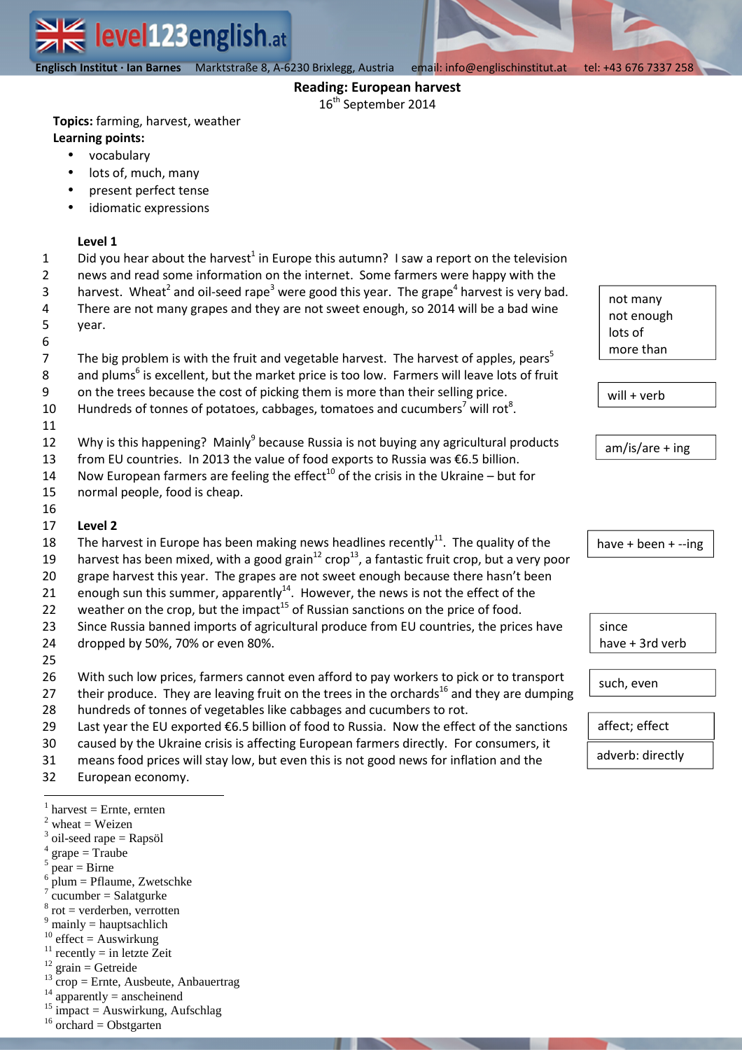

 **Englisch Institut · Ian Barnes** Marktstraße 8, A-6230 Brixlegg, Austria email: info@englischinstitut.at tel: +43 676 7337 258

## **Reading: European harvest**

16<sup>th</sup> September 2014

**Topics:** farming, harvest, weather **Learning points:**

- vocabulary
- lots of, much, many
- present perfect tense
- idiomatic expressions

## **Level 1**

- 1 Did you hear about the harvest<sup>1</sup> in Europe this autumn? I saw a report on the television
- 2 news and read some information on the internet. Some farmers were happy with the
	- harvest. Wheat<sup>2</sup> and oil-seed rape<sup>3</sup> were good this year. The grape<sup>4</sup> harvest is very bad. There are not many grapes and they are not sweet enough, so 2014 will be a bad wine
- 4 5 year.
- 6

3

- 7 8 The big problem is with the fruit and vegetable harvest. The harvest of apples, pears<sup>5</sup> and plums<sup>6</sup> is excellent, but the market price is too low. Farmers will leave lots of fruit
- 9 on the trees because the cost of picking them is more than their selling price.
- 10 Hundreds of tonnes of potatoes, cabbages, tomatoes and cucumbers<sup>7</sup> will rot<sup>8</sup>.
- 11
- 12 Why is this happening? Mainly<sup>9</sup> because Russia is not buying any agricultural products
- 13 from EU countries. In 2013 the value of food exports to Russia was €6.5 billion.
- 14 Now European farmers are feeling the effect<sup>10</sup> of the crisis in the Ukraine – but for
- 15 normal people, food is cheap.
- 16
- 17 **Level 2**
- 18 The harvest in Europe has been making news headlines recently<sup>11</sup>. The quality of the
- 19 harvest has been mixed, with a good grain<sup>12</sup> crop<sup>13</sup>, a fantastic fruit crop, but a very poor
- 20 grape harvest this year. The grapes are not sweet enough because there hasn't been
- 21 enough sun this summer, apparently<sup>14</sup>. However, the news is not the effect of the
- 22 weather on the crop, but the impact<sup>15</sup> of Russian sanctions on the price of food.
- 23 24 Since Russia banned imports of agricultural produce from EU countries, the prices have dropped by 50%, 70% or even 80%.
- 25
- 26 With such low prices, farmers cannot even afford to pay workers to pick or to transport
- 27 their produce. They are leaving fruit on the trees in the orchards<sup>16</sup> and they are dumping
- 28 hundreds of tonnes of vegetables like cabbages and cucumbers to rot.
- 29 Last year the EU exported €6.5 billion of food to Russia. Now the effect of the sanctions
- 30 caused by the Ukraine crisis is affecting European farmers directly. For consumers, it
- 31 means food prices will stay low, but even this is not good news for inflation and the
- 32 European economy.
- $\overline{a}$  $<sup>1</sup>$  harvest = Ernte, ernten</sup>
- $2$  wheat = Weizen
- <sup>3</sup> oil-seed rape = Rapsöl
- $grape = Traube$ 5
- pear = Birne 6
- plum = Pflaume, Zwetschke 7
- $cucumber = Salatourke$ 8 rot = verderben, verrotten
- $<sup>9</sup>$  mainly = hauptsachlich</sup>
- $10$  effect = Auswirkung
- <sup>11</sup> recently = in letzte Zeit
- $^{12}$  grain = Getreide
- $^{13}$  crop = Ernte, Ausbeute, Anbauertrag
- $apparently = an  
echeinend$
- $15 \text{ impact} = \text{Auswirkung}$ , Aufschlag
- $16$  orchard = Obstgarten



will + verb

am/is/are + ing

have + been + --ing

since have + 3rd verb

such, even

affect; effect

adverb: directly